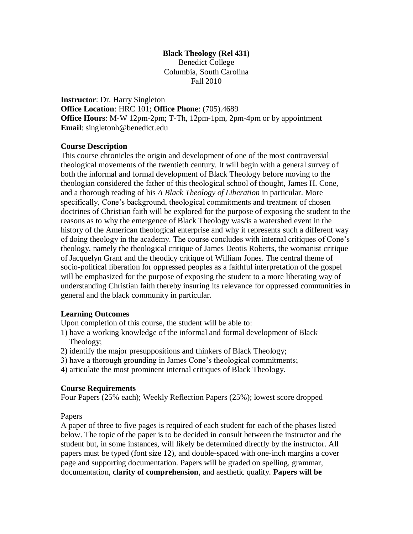### **Black Theology (Rel 431)** Benedict College Columbia, South Carolina Fall 2010

**Instructor**: Dr. Harry Singleton **Office Location**: HRC 101; **Office Phone**: (705).4689 **Office Hours**: M-W 12pm-2pm; T-Th, 12pm-1pm, 2pm-4pm or by appointment **Email**: singletonh@benedict.edu

#### **Course Description**

This course chronicles the origin and development of one of the most controversial theological movements of the twentieth century. It will begin with a general survey of both the informal and formal development of Black Theology before moving to the theologian considered the father of this theological school of thought, James H. Cone, and a thorough reading of his *A Black Theology of Liberation* in particular. More specifically, Cone's background, theological commitments and treatment of chosen doctrines of Christian faith will be explored for the purpose of exposing the student to the reasons as to why the emergence of Black Theology was/is a watershed event in the history of the American theological enterprise and why it represents such a different way of doing theology in the academy. The course concludes with internal critiques of Cone's theology, namely the theological critique of James Deotis Roberts, the womanist critique of Jacquelyn Grant and the theodicy critique of William Jones. The central theme of socio-political liberation for oppressed peoples as a faithful interpretation of the gospel will be emphasized for the purpose of exposing the student to a more liberating way of understanding Christian faith thereby insuring its relevance for oppressed communities in general and the black community in particular.

#### **Learning Outcomes**

Upon completion of this course, the student will be able to:

- 1) have a working knowledge of the informal and formal development of Black Theology;
- 2) identify the major presuppositions and thinkers of Black Theology;
- 3) have a thorough grounding in James Cone's theological commitments;
- 4) articulate the most prominent internal critiques of Black Theology.

#### **Course Requirements**

Four Papers (25% each); Weekly Reflection Papers (25%); lowest score dropped

#### Papers

A paper of three to five pages is required of each student for each of the phases listed below. The topic of the paper is to be decided in consult between the instructor and the student but, in some instances, will likely be determined directly by the instructor. All papers must be typed (font size 12), and double-spaced with one-inch margins a cover page and supporting documentation. Papers will be graded on spelling, grammar, documentation, **clarity of comprehension**, and aesthetic quality. **Papers will be**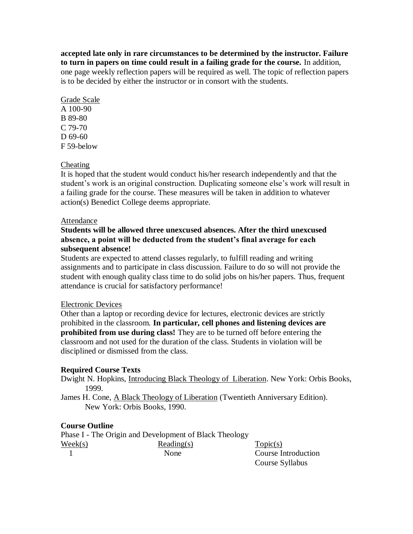**accepted late only in rare circumstances to be determined by the instructor. Failure to turn in papers on time could result in a failing grade for the course.** In addition, one page weekly reflection papers will be required as well. The topic of reflection papers is to be decided by either the instructor or in consort with the students.

### Grade Scale A 100-90 B 89-80 C 79-70 D 69-60 F 59-below

## Cheating

It is hoped that the student would conduct his/her research independently and that the student's work is an original construction. Duplicating someone else's work will result in a failing grade for the course. These measures will be taken in addition to whatever action(s) Benedict College deems appropriate.

#### Attendance

## **Students will be allowed three unexcused absences. After the third unexcused absence, a point will be deducted from the student's final average for each subsequent absence!**

Students are expected to attend classes regularly, to fulfill reading and writing assignments and to participate in class discussion. Failure to do so will not provide the student with enough quality class time to do solid jobs on his/her papers. Thus, frequent attendance is crucial for satisfactory performance!

#### Electronic Devices

Other than a laptop or recording device for lectures, electronic devices are strictly prohibited in the classroom. **In particular, cell phones and listening devices are prohibited from use during class!** They are to be turned off before entering the classroom and not used for the duration of the class. Students in violation will be disciplined or dismissed from the class.

## **Required Course Texts**

Dwight N. Hopkins, Introducing Black Theology of Liberation. New York: Orbis Books, 1999.

James H. Cone, A Black Theology of Liberation (Twentieth Anniversary Edition). New York: Orbis Books, 1990.

## **Course Outline**

Phase I - The Origin and Development of Black Theology  $\text{Weak}(s)$  Reading(s)  $\text{Topic}(s)$ 1 None Course Introduction

Course Syllabus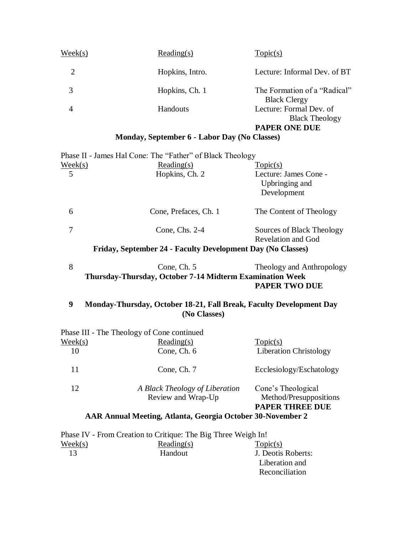| $\text{Week}(s)$ | Reading(s)                                   | Topic(s)                                            |
|------------------|----------------------------------------------|-----------------------------------------------------|
| 2                | Hopkins, Intro.                              | Lecture: Informal Dev. of BT                        |
| 3                | Hopkins, Ch. 1                               | The Formation of a "Radical"<br><b>Black Clergy</b> |
| 4                | <b>Handouts</b>                              | Lecture: Formal Dev. of<br><b>Black Theology</b>    |
|                  | Monday, September 6 - Labor Day (No Classes) | <b>PAPER ONE DUE</b>                                |

|                  | Phase II - James Hal Cone: The "Father" of Black Theology                           |                                                        |
|------------------|-------------------------------------------------------------------------------------|--------------------------------------------------------|
| <u>Week(s)</u>   | $Reading(s)$                                                                        | Topic(s)                                               |
| 5                | Hopkins, Ch. 2                                                                      | Lecture: James Cone -<br>Upbringing and<br>Development |
| 6                | Cone, Prefaces, Ch. 1                                                               | The Content of Theology                                |
| $\overline{7}$   | Cone, Chs. 2-4                                                                      | Sources of Black Theology<br><b>Revelation and God</b> |
|                  | Friday, September 24 - Faculty Development Day (No Classes)                         |                                                        |
| 8                | Cone, Ch. 5<br>Thursday-Thursday, October 7-14 Midterm Examination Week             | Theology and Anthropology<br><b>PAPER TWO DUE</b>      |
| 9                | Monday-Thursday, October 18-21, Fall Break, Faculty Development Day<br>(No Classes) |                                                        |
|                  | Phase III - The Theology of Cone continued                                          |                                                        |
| $\text{Week}(s)$ | Reading(s)                                                                          | Topic(s)                                               |
|                  | Cone, Ch. 6                                                                         |                                                        |
| 10               |                                                                                     | Liberation Christology                                 |

12 *A Black Theology of Liberation* Cone's Theological<br>Review and Wrap-Up Method/Presuppos Method/Presuppositions **PAPER THREE DUE**

# **AAR Annual Meeting, Atlanta, Georgia October 30-November 2**

|                  | Phase IV - From Creation to Critique: The Big Three Weigh In! |                    |
|------------------|---------------------------------------------------------------|--------------------|
| $\text{Week}(s)$ | Reading(s)                                                    | Topic(s)           |
| 13               | Handout                                                       | J. Deotis Roberts: |
|                  |                                                               | Liberation and     |
|                  |                                                               | Reconciliation     |